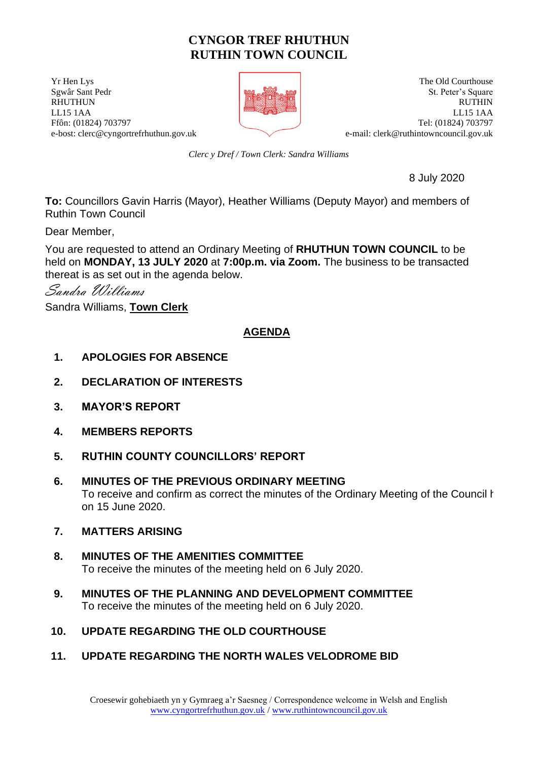# **CYNGOR TREF RHUTHUN RUTHIN TOWN COUNCIL**

**The UV and Security Courthouse The Old Courthouse The Old Courthouse** e-bost: clerc@cyngortrefrhuthun.gov.uk e-mail: [clerk@ruthintowncouncil.gov.uk](mailto:clerk@ruthintowncouncil.gov.uk)



Sgwâr Sant Pedr St. Peter's Square RHUTHUN RUTHIN LL15 1AA LL15 1AA Ffôn: (01824) 703797 Tel: (01824) 703797

*Clerc y Dref / Town Clerk: Sandra Williams*

8 July 2020

**To:** Councillors Gavin Harris (Mayor), Heather Williams (Deputy Mayor) and members of Ruthin Town Council

Dear Member,

You are requested to attend an Ordinary Meeting of **RHUTHUN TOWN COUNCIL** to be held on **MONDAY, 13 JULY 2020** at **7:00p.m. via Zoom.** The business to be transacted thereat is as set out in the agenda below.

Sandra Williams

Sandra Williams, **Town Clerk**

## **AGENDA**

- **1. APOLOGIES FOR ABSENCE**
- **2. DECLARATION OF INTERESTS**
- **3. MAYOR'S REPORT**
- **4. MEMBERS REPORTS**
- **5. RUTHIN COUNTY COUNCILLORS' REPORT**
- **6. MINUTES OF THE PREVIOUS ORDINARY MEETING** To receive and confirm as correct the minutes of the Ordinary Meeting of the Council held on 15 June 2020.
- **7. MATTERS ARISING**
- **8. MINUTES OF THE AMENITIES COMMITTEE** To receive the minutes of the meeting held on 6 July 2020.
- **9. MINUTES OF THE PLANNING AND DEVELOPMENT COMMITTEE** To receive the minutes of the meeting held on 6 July 2020.
- **10. UPDATE REGARDING THE OLD COURTHOUSE**
- **11. UPDATE REGARDING THE NORTH WALES VELODROME BID**